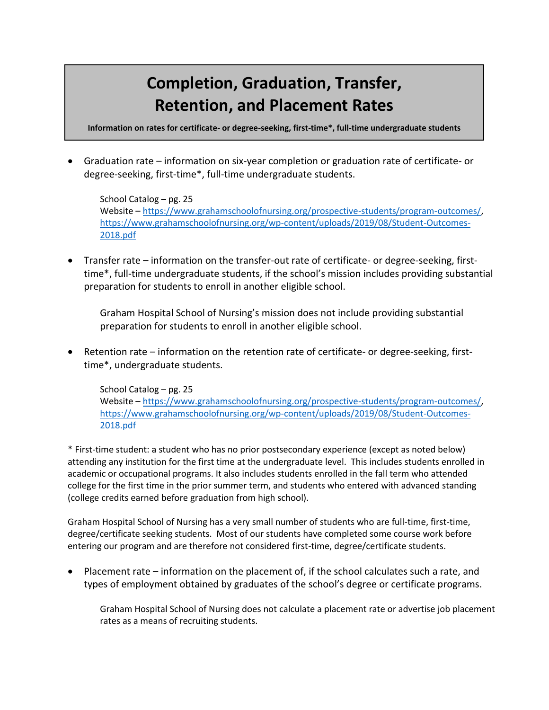## **Completion, Graduation, Transfer, Retention, and Placement Rates**

**Information on rates for certificate- or degree-seeking, first-time\*, full-time undergraduate students**

• Graduation rate – information on six-year completion or graduation rate of certificate- or degree-seeking, first-time\*, full-time undergraduate students.

School Catalog – pg. 25 Website – [https://www.grahamschoolofnursing.org/prospective-students/program-outcomes/,](https://www.grahamschoolofnursing.org/prospective-students/program-outcomes/) [https://www.grahamschoolofnursing.org/wp-content/uploads/2019/08/Student-Outcomes-](https://www.grahamschoolofnursing.org/wp-content/uploads/2019/08/Student-Outcomes-2018.pdf)[2018.pdf](https://www.grahamschoolofnursing.org/wp-content/uploads/2019/08/Student-Outcomes-2018.pdf)

• Transfer rate – information on the transfer-out rate of certificate- or degree-seeking, firsttime\*, full-time undergraduate students, if the school's mission includes providing substantial preparation for students to enroll in another eligible school.

Graham Hospital School of Nursing's mission does not include providing substantial preparation for students to enroll in another eligible school.

• Retention rate – information on the retention rate of certificate- or degree-seeking, firsttime\*, undergraduate students.

School Catalog – pg. 25 Website – [https://www.grahamschoolofnursing.org/prospective-students/program-outcomes/,](https://www.grahamschoolofnursing.org/prospective-students/program-outcomes/) [https://www.grahamschoolofnursing.org/wp-content/uploads/2019/08/Student-Outcomes-](https://www.grahamschoolofnursing.org/wp-content/uploads/2019/08/Student-Outcomes-2018.pdf)[2018.pdf](https://www.grahamschoolofnursing.org/wp-content/uploads/2019/08/Student-Outcomes-2018.pdf)

\* First-time student: a student who has no prior postsecondary experience (except as noted below) attending any institution for the first time at the undergraduate level. This includes students enrolled in academic or occupational programs. It also includes students enrolled in the fall term who attended college for the first time in the prior summer term, and students who entered with advanced standing (college credits earned before graduation from high school).

Graham Hospital School of Nursing has a very small number of students who are full-time, first-time, degree/certificate seeking students. Most of our students have completed some course work before entering our program and are therefore not considered first-time, degree/certificate students.

• Placement rate – information on the placement of, if the school calculates such a rate, and types of employment obtained by graduates of the school's degree or certificate programs.

Graham Hospital School of Nursing does not calculate a placement rate or advertise job placement rates as a means of recruiting students.